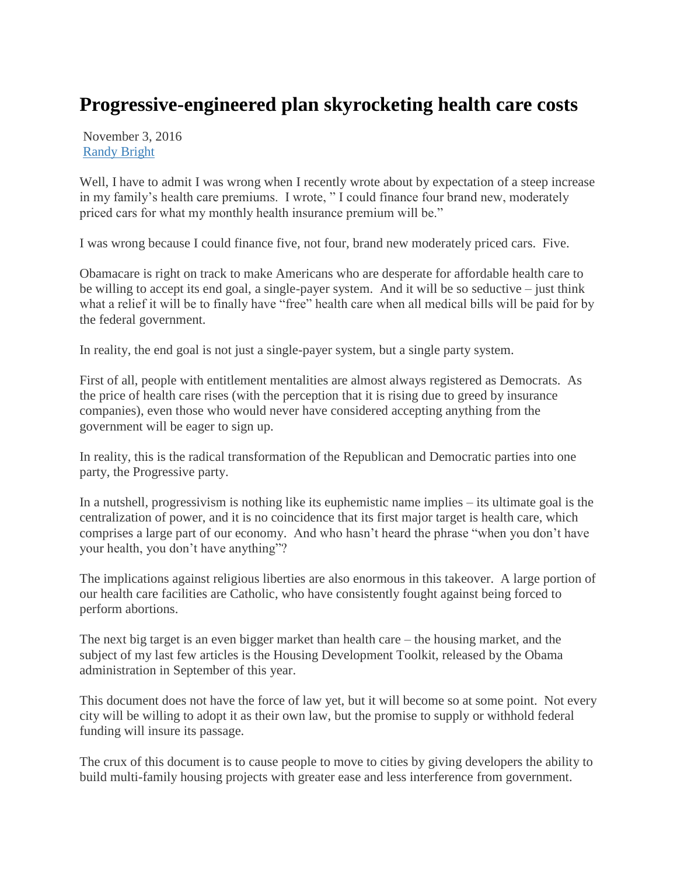## **Progressive-engineered plan skyrocketing health care costs**

November 3, 2016 [Randy Bright](http://tulsabeacon.com/author/randy-bright/)

Well, I have to admit I was wrong when I recently wrote about by expectation of a steep increase in my family's health care premiums. I wrote, " I could finance four brand new, moderately priced cars for what my monthly health insurance premium will be."

I was wrong because I could finance five, not four, brand new moderately priced cars. Five.

Obamacare is right on track to make Americans who are desperate for affordable health care to be willing to accept its end goal, a single-payer system. And it will be so seductive – just think what a relief it will be to finally have "free" health care when all medical bills will be paid for by the federal government.

In reality, the end goal is not just a single-payer system, but a single party system.

First of all, people with entitlement mentalities are almost always registered as Democrats. As the price of health care rises (with the perception that it is rising due to greed by insurance companies), even those who would never have considered accepting anything from the government will be eager to sign up.

In reality, this is the radical transformation of the Republican and Democratic parties into one party, the Progressive party.

In a nutshell, progressivism is nothing like its euphemistic name implies – its ultimate goal is the centralization of power, and it is no coincidence that its first major target is health care, which comprises a large part of our economy. And who hasn't heard the phrase "when you don't have your health, you don't have anything"?

The implications against religious liberties are also enormous in this takeover. A large portion of our health care facilities are Catholic, who have consistently fought against being forced to perform abortions.

The next big target is an even bigger market than health care – the housing market, and the subject of my last few articles is the Housing Development Toolkit, released by the Obama administration in September of this year.

This document does not have the force of law yet, but it will become so at some point. Not every city will be willing to adopt it as their own law, but the promise to supply or withhold federal funding will insure its passage.

The crux of this document is to cause people to move to cities by giving developers the ability to build multi-family housing projects with greater ease and less interference from government.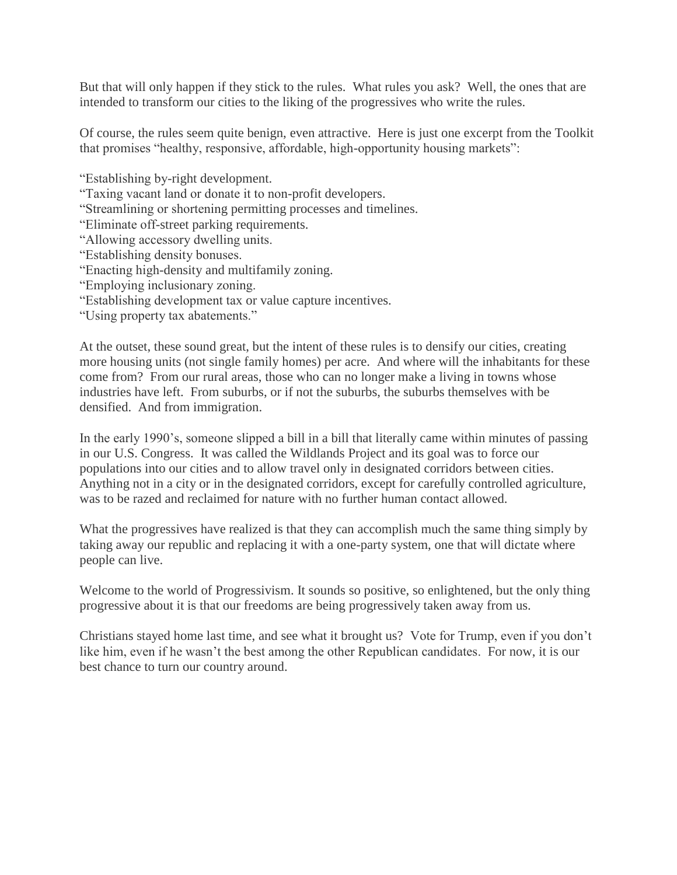But that will only happen if they stick to the rules. What rules you ask? Well, the ones that are intended to transform our cities to the liking of the progressives who write the rules.

Of course, the rules seem quite benign, even attractive. Here is just one excerpt from the Toolkit that promises "healthy, responsive, affordable, high-opportunity housing markets":

"Establishing by-right development.

"Taxing vacant land or donate it to non-profit developers.

"Streamlining or shortening permitting processes and timelines.

"Eliminate off-street parking requirements.

- "Allowing accessory dwelling units.
- "Establishing density bonuses.
- "Enacting high-density and multifamily zoning.
- "Employing inclusionary zoning.
- "Establishing development tax or value capture incentives.
- "Using property tax abatements."

At the outset, these sound great, but the intent of these rules is to densify our cities, creating more housing units (not single family homes) per acre. And where will the inhabitants for these come from? From our rural areas, those who can no longer make a living in towns whose industries have left. From suburbs, or if not the suburbs, the suburbs themselves with be densified. And from immigration.

In the early 1990's, someone slipped a bill in a bill that literally came within minutes of passing in our U.S. Congress. It was called the Wildlands Project and its goal was to force our populations into our cities and to allow travel only in designated corridors between cities. Anything not in a city or in the designated corridors, except for carefully controlled agriculture, was to be razed and reclaimed for nature with no further human contact allowed.

What the progressives have realized is that they can accomplish much the same thing simply by taking away our republic and replacing it with a one-party system, one that will dictate where people can live.

Welcome to the world of Progressivism. It sounds so positive, so enlightened, but the only thing progressive about it is that our freedoms are being progressively taken away from us.

Christians stayed home last time, and see what it brought us? Vote for Trump, even if you don't like him, even if he wasn't the best among the other Republican candidates. For now, it is our best chance to turn our country around.